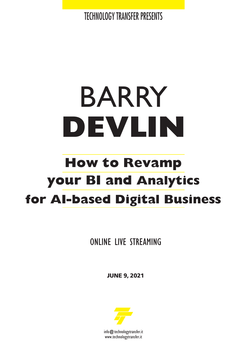TECHNOLOGY TRANSFER PRESENTS

# BARRY **DEVLIN**

## **your BI and Analytics How to Revamp for AI-based Digital Business**

ONLINE LIVE STREAMING

**JUNE 9, 2021**



info@technologytransfer.it www.technologytransfer.it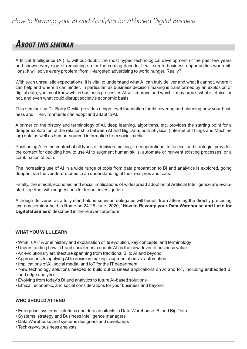## *How to Revamp your BI and Analytics for AI-based Digital Business*

## **ABOUT THIS SEMINAR**

Artificial Intelligence (AI) is, without doubt, the most hyped technological development of the past few years and shows every sign of remaining so for the coming decade. It will create business opportunities worth billions. It will solve every problem, from ill-targeted advertising to world hunger. Really?

With such unrealistic expectations, it is vital to understand what AI can truly deliver and what it cannot, where it can help and where it can hinder. In particular, as business decision making is transformed by an explosion of digital data, you must know which business processes AI will improve and which it may break, what is ethical or not, and even what could disrupt society's economic basis.

This seminar by Dr. Barry Devlin provides a high-level foundation for discovering and planning how your business and IT environments can adopt and adapt to AI.

A primer on the history and terminology of AI, deep learning, algorithms, etc. provides the starting point for a deeper exploration of the relationship between AI and Big Data, both physical (Internet of Things and Machine log) data as well as human-sourced information from social media.

Positioning AI in the context of all types of decision making, from operational to tactical and strategic, provides the context for deciding how to use AI to augment human skills, automate or reinvent existing processes, or a combination of both.

The increasing use of AI in a wide range of tools from data preparation to BI and analytics is explored, going deeper than the vendors' stories to an understanding of their real pros and cons.

Finally, the ethical, economic and social implications of widespread adoption of Artificial Intelligence are evaluated, together with suggestions for further investigation.

Although delivered as a fully stand-alone seminar, delegates will benefit from attending the directly preceding two-day seminar held in Rome on 24-25 June, 2020, "**How to Revamp your Data Warehouse and Lake for Digital Business**" described in the relevant brochure.

#### **WHAT YOU WILL LEARN**

- What is AI? A brief history and explanation of its evolution, key concepts, and terminology
- Understanding how IoT and social media enable AI as the new driver of business value
- An evolutionary architecture spanning from traditional BI to AI and beyond
- Approaches to applying AI to decision making -augmentation vs. automation
- Implications of AI, social media, and IoT for the IT department
- New technology solutions needed to build out business applications on AI and IoT, including embedded BI and edge analytics
- Evolving from today's BI and analytics to future AI-based solutions
- Ethical, economic, and social considerations for your business and beyond

## **WHO SHOULD ATTEND**

- Enterprise, systems, solutions and data architects in Data Warehouse, BI and Big Data
- Systems, strategy and Business Intelligence managers
- Data Warehouse and systems designers and developers
- Tech-savvy business analysts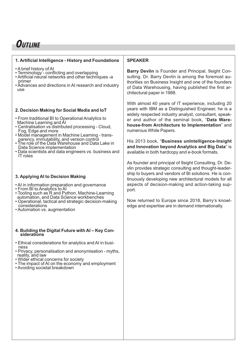## **OUTLINE**

#### **1. Artificial Intelligence - History and Foundations**

- 
- 
- <sup>A</sup> brief history of AI Terminology conflicting and overlapping Artificial neural networks and other techniques -a
- Advances and directions in AI research and industry use

#### **2. Decision Making for Social Media and IoT**

- From traditional BI to Operational Analytics to
- 
- Centralisation vs distributed processing Cloud,<br>Fog, Edge and more<br>• Model management in Machine Learning trans-<br>parency, immutability, and version control<br>• The role of the Data Warehouse and Data Lake in<br>Data Scien
- 
- Data scientists and data engineers vs. business and IT roles

#### **3. Applying AI to Decision Making**

- 
- 
- AI in information preparation and governance<br>• From BI to Analytics to AI<br>• Tooling such as R and Python, Machine-Learning<br>automation, and Data Science workbenches
- Operational, tactical and strategic decision-making<br>considerations
- Automation vs. augmentation

## **4. Building the Digital Future with AI – Key Con- siderations**

- 
- Ethical considerations for analytics and AI in busi-<br>ness<br>• Privacy, personalisation and anonymisation myths,<br>reality, and law<br>• Wider ethical concerns for society<br>• The impact of AI on the economy and employment<br>• Avo
- 
- 
- 

### **SPEAKER**

**Barry Devlin** is Founder and Principal, 9sight Consulting. Dr. Barry Devlin is among the foremost authorities on Business Insight and one of the founders of Data Warehousing, having published the first architectural paper in 1988.

With almost 40 years of IT experience, including 20 years with IBM as a Distinguished Engineer, he is a widely respected industry analyst, consultant, speaker and author of the seminal book, "**Data Warehouse-from Architecture to Implementation**" and numerous White Papers.

His 2013 book, "**Business unIntelligence-Insight and Innovation beyond Analytics and Big Data**" is available in both hardcopy and e-book formats.

As founder and principal of 9sight Consulting, Dr. Devlin provides strategic consulting and thought-leadership to buyers and vendors of BI solutions. He is continuously developing new architectural models for all aspects of decision-making and action-taking support.

Now returned to Europe since 2018, Barry's knowledge and expertise are in demand internationally.